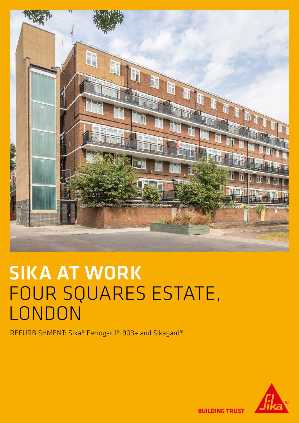

## SIKA AT WORK FOUR SQUARES ESTATE, **LONDON**

REFURBISHMENT: Sika® Ferrogard®-903+ and Sikagard®



**BUILDING TRUST**